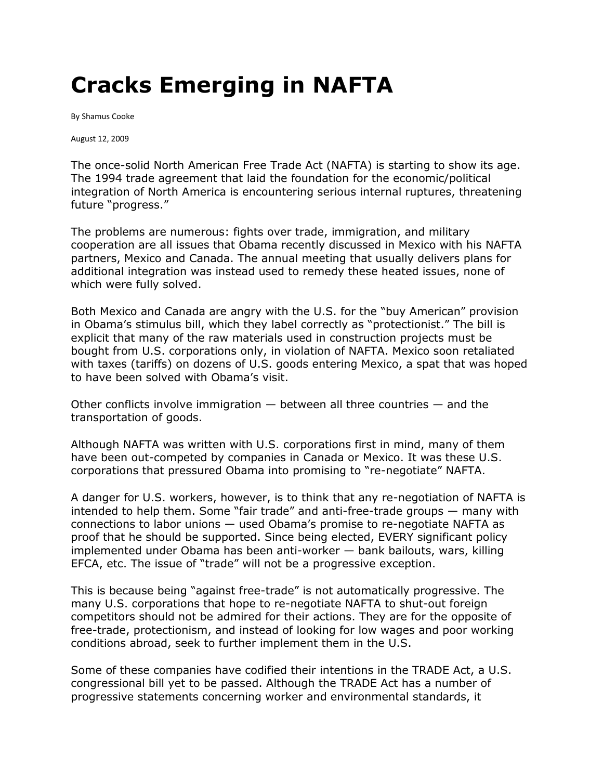## **Cracks Emerging in NAFTA**

By Shamus Cooke

August 12, 2009

The once-solid North American Free Trade Act (NAFTA) is starting to show its age. The 1994 trade agreement that laid the foundation for the economic/political integration of North America is encountering serious internal ruptures, threatening future "progress."

The problems are numerous: fights over trade, immigration, and military cooperation are all issues that Obama recently discussed in Mexico with his NAFTA partners, Mexico and Canada. The annual meeting that usually delivers plans for additional integration was instead used to remedy these heated issues, none of which were fully solved.

Both Mexico and Canada are angry with the U.S. for the "buy American" provision in Obama's stimulus bill, which they label correctly as "protectionist." The bill is explicit that many of the raw materials used in construction projects must be bought from U.S. corporations only, in violation of NAFTA. Mexico soon retaliated with taxes (tariffs) on dozens of U.S. goods entering Mexico, a spat that was hoped to have been solved with Obama's visit.

Other conflicts involve immigration — between all three countries — and the transportation of goods.

Although NAFTA was written with U.S. corporations first in mind, many of them have been out-competed by companies in Canada or Mexico. It was these U.S. corporations that pressured Obama into promising to "re-negotiate" NAFTA.

A danger for U.S. workers, however, is to think that any re-negotiation of NAFTA is intended to help them. Some "fair trade" and anti-free-trade groups — many with connections to labor unions — used Obama's promise to re-negotiate NAFTA as proof that he should be supported. Since being elected, EVERY significant policy implemented under Obama has been anti-worker — bank bailouts, wars, killing EFCA, etc. The issue of "trade" will not be a progressive exception.

This is because being "against free-trade" is not automatically progressive. The many U.S. corporations that hope to re-negotiate NAFTA to shut-out foreign competitors should not be admired for their actions. They are for the opposite of free-trade, protectionism, and instead of looking for low wages and poor working conditions abroad, seek to further implement them in the U.S.

Some of these companies have codified their intentions in the TRADE Act, a U.S. congressional bill yet to be passed. Although the TRADE Act has a number of progressive statements concerning worker and environmental standards, it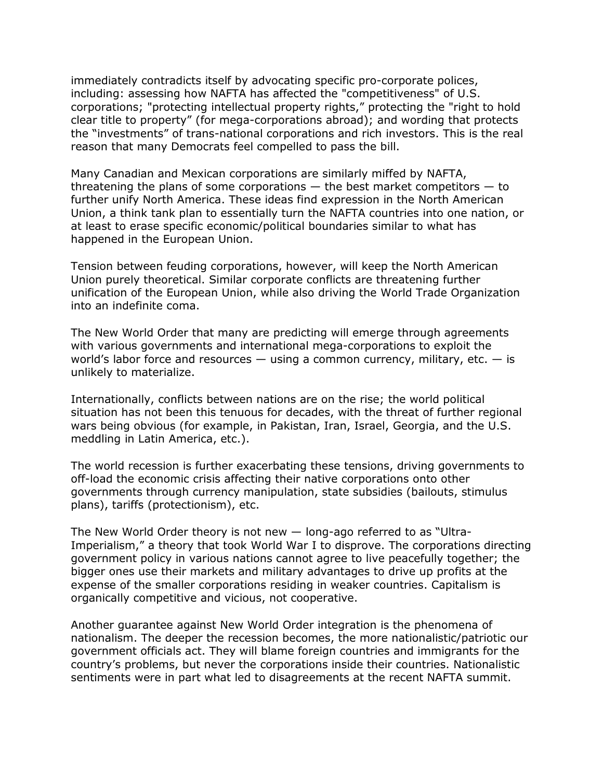immediately contradicts itself by advocating specific pro-corporate polices, including: assessing how NAFTA has affected the "competitiveness" of U.S. corporations; "protecting intellectual property rights," protecting the "right to hold clear title to property" (for mega-corporations abroad); and wording that protects the "investments" of trans-national corporations and rich investors. This is the real reason that many Democrats feel compelled to pass the bill.

Many Canadian and Mexican corporations are similarly miffed by NAFTA, threatening the plans of some corporations  $-$  the best market competitors  $-$  to further unify North America. These ideas find expression in the North American Union, a think tank plan to essentially turn the NAFTA countries into one nation, or at least to erase specific economic/political boundaries similar to what has happened in the European Union.

Tension between feuding corporations, however, will keep the North American Union purely theoretical. Similar corporate conflicts are threatening further unification of the European Union, while also driving the World Trade Organization into an indefinite coma.

The New World Order that many are predicting will emerge through agreements with various governments and international mega-corporations to exploit the world's labor force and resources  $-$  using a common currency, military, etc.  $-$  is unlikely to materialize.

Internationally, conflicts between nations are on the rise; the world political situation has not been this tenuous for decades, with the threat of further regional wars being obvious (for example, in Pakistan, Iran, Israel, Georgia, and the U.S. meddling in Latin America, etc.).

The world recession is further exacerbating these tensions, driving governments to off-load the economic crisis affecting their native corporations onto other governments through currency manipulation, state subsidies (bailouts, stimulus plans), tariffs (protectionism), etc.

The New World Order theory is not new — long-ago referred to as "Ultra-Imperialism," a theory that took World War I to disprove. The corporations directing government policy in various nations cannot agree to live peacefully together; the bigger ones use their markets and military advantages to drive up profits at the expense of the smaller corporations residing in weaker countries. Capitalism is organically competitive and vicious, not cooperative.

Another guarantee against New World Order integration is the phenomena of nationalism. The deeper the recession becomes, the more nationalistic/patriotic our government officials act. They will blame foreign countries and immigrants for the country's problems, but never the corporations inside their countries. Nationalistic sentiments were in part what led to disagreements at the recent NAFTA summit.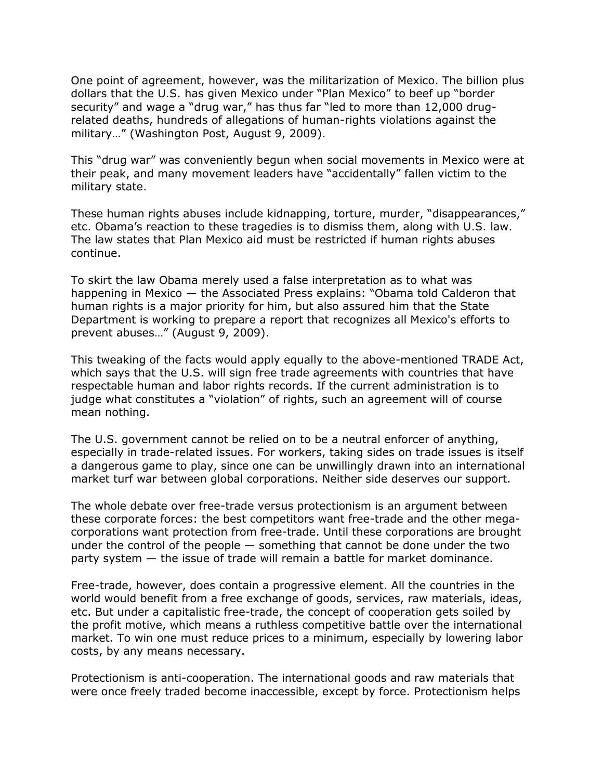One point of agreement, however, was the militarization of Mexico. The billion plus dollars that the U.S. has given Mexico under "Plan Mexico" to beef up "border security" and wage a "drug war," has thus far "led to more than 12,000 drugrelated deaths, hundreds of allegations of human-rights violations against the military…" (Washington Post, August 9, 2009).

This "drug war" was conveniently begun when social movements in Mexico were at their peak, and many movement leaders have "accidentally" fallen victim to the military state.

These human rights abuses include kidnapping, torture, murder, "disappearances," etc. Obama's reaction to these tragedies is to dismiss them, along with U.S. law. The law states that Plan Mexico aid must be restricted if human rights abuses continue.

To skirt the law Obama merely used a false interpretation as to what was happening in Mexico — the Associated Press explains: "Obama told Calderon that human rights is a major priority for him, but also assured him that the State Department is working to prepare a report that recognizes all Mexico's efforts to prevent abuses…" (August 9, 2009).

This tweaking of the facts would apply equally to the above-mentioned TRADE Act, which says that the U.S. will sign free trade agreements with countries that have respectable human and labor rights records. If the current administration is to judge what constitutes a "violation" of rights, such an agreement will of course mean nothing.

The U.S. government cannot be relied on to be a neutral enforcer of anything, especially in trade-related issues. For workers, taking sides on trade issues is itself a dangerous game to play, since one can be unwillingly drawn into an international market turf war between global corporations. Neither side deserves our support.

The whole debate over free-trade versus protectionism is an argument between these corporate forces: the best competitors want free-trade and the other megacorporations want protection from free-trade. Until these corporations are brought under the control of the people — something that cannot be done under the two party system — the issue of trade will remain a battle for market dominance.

Free-trade, however, does contain a progressive element. All the countries in the world would benefit from a free exchange of goods, services, raw materials, ideas, etc. But under a capitalistic free-trade, the concept of cooperation gets soiled by the profit motive, which means a ruthless competitive battle over the international market. To win one must reduce prices to a minimum, especially by lowering labor costs, by any means necessary.

Protectionism is anti-cooperation. The international goods and raw materials that were once freely traded become inaccessible, except by force. Protectionism helps